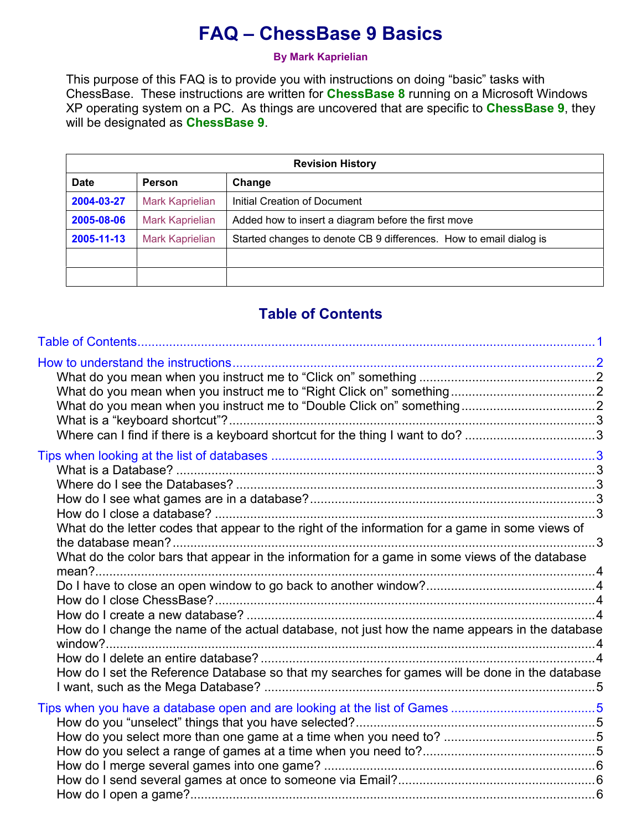# FAQ – ChessBase 9 Basics

By Mark Kaprielian

This purpose of this FAQ is to provide you with instructions on doing "basic" tasks with ChessBase. These instructions are written for ChessBase 8 running on a Microsoft Windows XP operating system on a PC. As things are uncovered that are specific to **ChessBase 9**, they will be designated as **ChessBase 9.** 

| <b>Revision History</b> |                        |                                                                    |  |  |
|-------------------------|------------------------|--------------------------------------------------------------------|--|--|
| <b>Date</b>             | <b>Person</b>          | Change                                                             |  |  |
| 2004-03-27              | <b>Mark Kaprielian</b> | <b>Initial Creation of Document</b>                                |  |  |
| 2005-08-06              | <b>Mark Kaprielian</b> | Added how to insert a diagram before the first move                |  |  |
| 2005-11-13              | <b>Mark Kaprielian</b> | Started changes to denote CB 9 differences. How to email dialog is |  |  |
|                         |                        |                                                                    |  |  |
|                         |                        |                                                                    |  |  |

# Table of Contents

| What do the letter codes that appear to the right of the information for a game in some views of<br>What do the color bars that appear in the information for a game in some views of the database<br>How do I change the name of the actual database, not just how the name appears in the database<br>How do I set the Reference Database so that my searches for games will be done in the database |  |
|--------------------------------------------------------------------------------------------------------------------------------------------------------------------------------------------------------------------------------------------------------------------------------------------------------------------------------------------------------------------------------------------------------|--|
|                                                                                                                                                                                                                                                                                                                                                                                                        |  |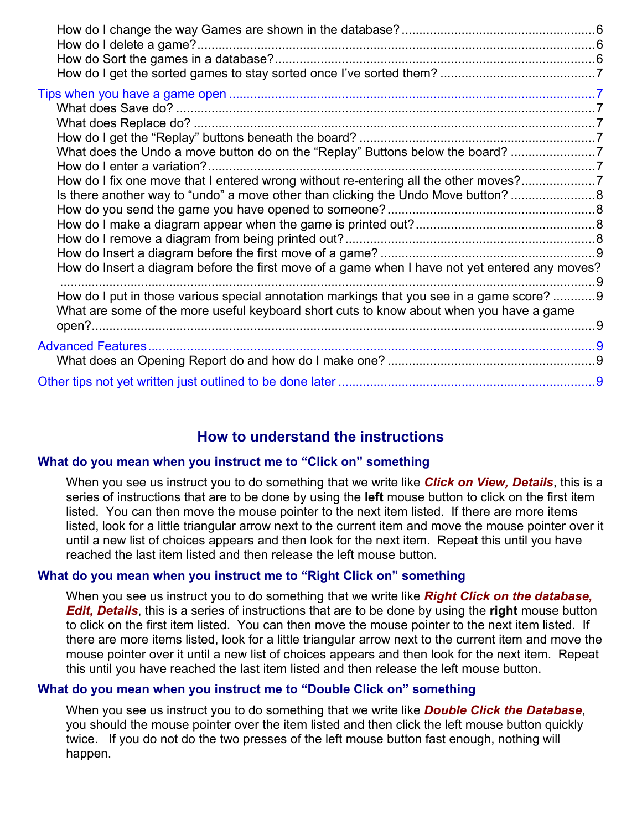| What does the Undo a move button do on the "Replay" Buttons below the board? 7                                                                                                        |  |
|---------------------------------------------------------------------------------------------------------------------------------------------------------------------------------------|--|
| How do I enter a variation?                                                                                                                                                           |  |
| How do I fix one move that I entered wrong without re-entering all the other moves?7                                                                                                  |  |
| Is there another way to "undo" a move other than clicking the Undo Move button?                                                                                                       |  |
|                                                                                                                                                                                       |  |
|                                                                                                                                                                                       |  |
|                                                                                                                                                                                       |  |
|                                                                                                                                                                                       |  |
| How do Insert a diagram before the first move of a game when I have not yet entered any moves?                                                                                        |  |
| How do I put in those various special annotation markings that you see in a game score?  9<br>What are some of the more useful keyboard short cuts to know about when you have a game |  |
|                                                                                                                                                                                       |  |
|                                                                                                                                                                                       |  |
|                                                                                                                                                                                       |  |
|                                                                                                                                                                                       |  |

# How to understand the instructions

# What do you mean when you instruct me to "Click on" something

When you see us instruct you to do something that we write like **Click on View, Details**, this is a series of instructions that are to be done by using the **left** mouse button to click on the first item listed. You can then move the mouse pointer to the next item listed. If there are more items listed, look for a little triangular arrow next to the current item and move the mouse pointer over it until a new list of choices appears and then look for the next item. Repeat this until you have reached the last item listed and then release the left mouse button.

# What do you mean when you instruct me to "Right Click on" something

When you see us instruct you to do something that we write like **Right Click on the database**, **Edit, Details**, this is a series of instructions that are to be done by using the right mouse button to click on the first item listed. You can then move the mouse pointer to the next item listed. If there are more items listed, look for a little triangular arrow next to the current item and move the mouse pointer over it until a new list of choices appears and then look for the next item. Repeat this until you have reached the last item listed and then release the left mouse button.

# What do you mean when you instruct me to "Double Click on" something

When you see us instruct you to do something that we write like **Double Click the Database**, you should the mouse pointer over the item listed and then click the left mouse button quickly twice. If you do not do the two presses of the left mouse button fast enough, nothing will happen.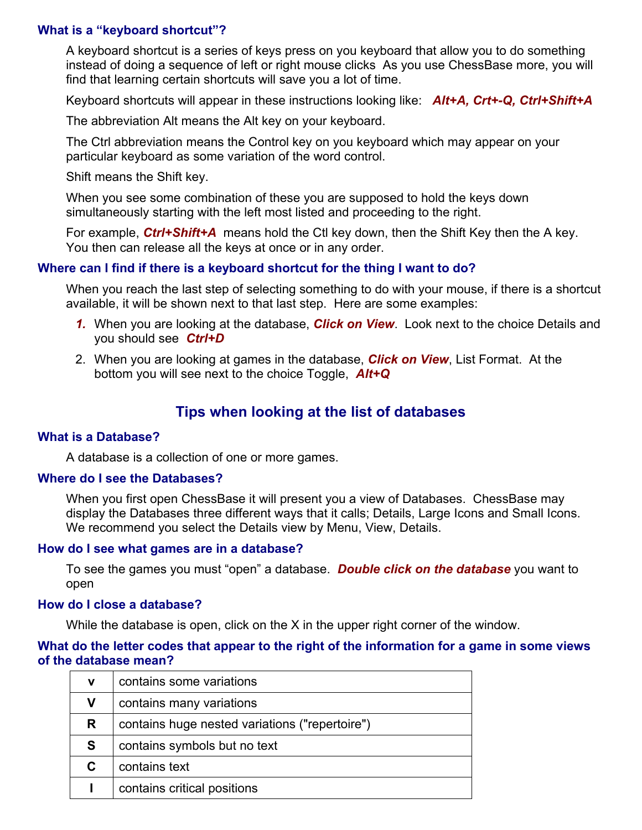# What is a "keyboard shortcut"?

A keyboard shortcut is a series of keys press on you keyboard that allow you to do something instead of doing a sequence of left or right mouse clicks As you use ChessBase more, you will find that learning certain shortcuts will save you a lot of time.

Keyboard shortcuts will appear in these instructions looking like: Alt+A, Crt+-Q, Ctrl+Shift+A

The abbreviation Alt means the Alt key on your keyboard.

The Ctrl abbreviation means the Control key on you keyboard which may appear on your particular keyboard as some variation of the word control.

Shift means the Shift key.

When you see some combination of these you are supposed to hold the keys down simultaneously starting with the left most listed and proceeding to the right.

For example, Ctrl+Shift+A means hold the Ctl key down, then the Shift Key then the A key. You then can release all the keys at once or in any order.

# Where can I find if there is a keyboard shortcut for the thing I want to do?

When you reach the last step of selecting something to do with your mouse, if there is a shortcut available, it will be shown next to that last step. Here are some examples:

- 1. When you are looking at the database, Click on View. Look next to the choice Details and you should see Ctrl+D
- 2. When you are looking at games in the database, **Click on View**, List Format. At the bottom you will see next to the choice Toggle,  $Alt+Q$

# Tips when looking at the list of databases

#### What is a Database?

A database is a collection of one or more games.

#### Where do I see the Databases?

When you first open ChessBase it will present you a view of Databases. ChessBase may display the Databases three different ways that it calls; Details, Large Icons and Small Icons. We recommend you select the Details view by Menu, View, Details.

#### How do I see what games are in a database?

To see the games you must "open" a database. **Double click on the database** you want to open

#### How do I close a database?

While the database is open, click on the X in the upper right corner of the window.

#### What do the letter codes that appear to the right of the information for a game in some views of the database mean?

| v | contains some variations                       |  |  |
|---|------------------------------------------------|--|--|
| v | contains many variations                       |  |  |
| R | contains huge nested variations ("repertoire") |  |  |
| S | contains symbols but no text                   |  |  |
|   | contains text                                  |  |  |
|   | contains critical positions                    |  |  |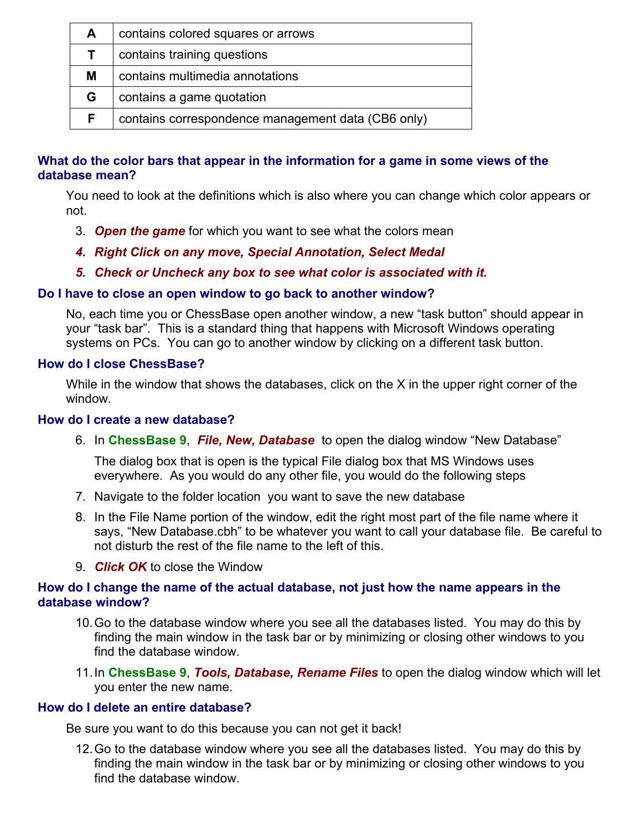| A  | contains colored squares or arrows                 |
|----|----------------------------------------------------|
|    | contains training questions                        |
| М  | contains multimedia annotations                    |
| G  | contains a game quotation                          |
| F. | contains correspondence management data (CB6 only) |

# What do the color bars that appear in the information for a game in some views of the database mean?

You need to look at the definitions which is also where you can change which color appears or not.

- 3. Open the game for which you want to see what the colors mean
- 4. Right Click on any move, Special Annotation, Select Medal
- 5. Check or Uncheck any box to see what color is associated with it.

# Do I have to close an open window to go back to another window?

No, each time you or ChessBase open another window, a new "task button" should appear in your "task bar". This is a standard thing that happens with Microsoft Windows operating systems on PCs. You can go to another window by clicking on a different task button.

# How do I close ChessBase?

While in the window that shows the databases, click on the X in the upper right corner of the window.

# How do I create a new database?

6. In ChessBase 9, File, New, Database to open the dialog window "New Database"

The dialog box that is open is the typical File dialog box that MS Windows uses everywhere. As you would do any other file, you would do the following steps

- 7. Navigate to the folder location you want to save the new database
- 8. In the File Name portion of the window, edit the right most part of the file name where it says, "New Database.cbh" to be whatever you want to call your database file. Be careful to not disturb the rest of the file name to the left of this.
- 9. Click OK to close the Window

# How do I change the name of the actual database, not just how the name appears in the database window?

- 10. Go to the database window where you see all the databases listed. You may do this by finding the main window in the task bar or by minimizing or closing other windows to you find the database window.
- 11. In ChessBase 9, Tools, Database, Rename Files to open the dialog window which will let you enter the new name.

# How do I delete an entire database?

Be sure you want to do this because you can not get it back!

12. Go to the database window where you see all the databases listed. You may do this by finding the main window in the task bar or by minimizing or closing other windows to you find the database window.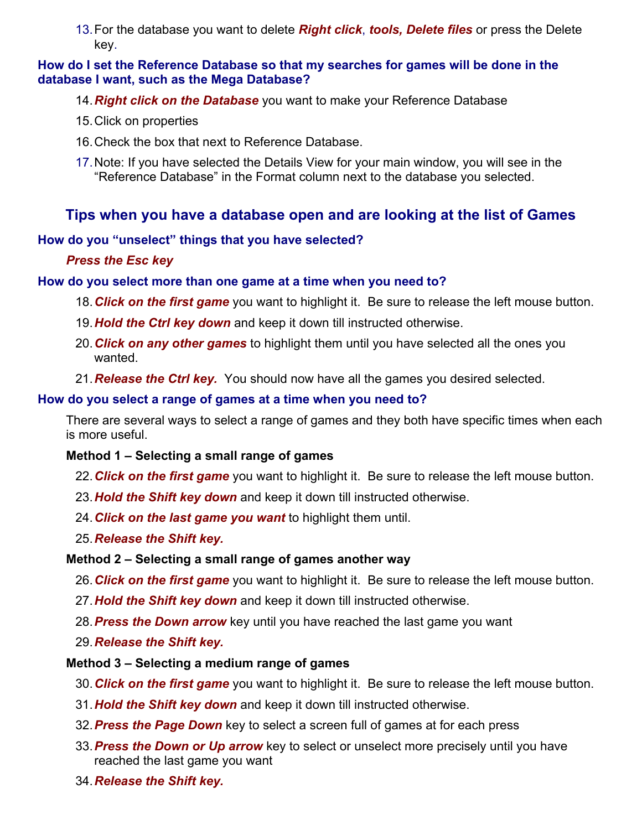13. For the database you want to delete **Right click, tools, Delete files** or press the Delete key.

# How do I set the Reference Database so that my searches for games will be done in the database I want, such as the Mega Database?

- 14. Right click on the Database you want to make your Reference Database
- 15. Click on properties
- 16. Check the box that next to Reference Database.
- 17. Note: If you have selected the Details View for your main window, you will see in the "Reference Database" in the Format column next to the database you selected.

# Tips when you have a database open and are looking at the list of Games

# How do you "unselect" things that you have selected?

# Press the Esc key

# How do you select more than one game at a time when you need to?

- 18. Click on the first game you want to highlight it. Be sure to release the left mouse button.
- 19. Hold the Ctrl key down and keep it down till instructed otherwise.
- 20. Click on any other games to highlight them until you have selected all the ones you wanted.
- 21. Release the Ctrl key. You should now have all the games you desired selected.

# How do you select a range of games at a time when you need to?

There are several ways to select a range of games and they both have specific times when each is more useful.

# Method 1 – Selecting a small range of games

- 22. Click on the first game you want to highlight it. Be sure to release the left mouse button.
- 23. Hold the Shift key down and keep it down till instructed otherwise.
- 24. Click on the last game you want to highlight them until.
- 25. Release the Shift key.

# Method 2 – Selecting a small range of games another way

- 26. Click on the first game you want to highlight it. Be sure to release the left mouse button.
- 27. **Hold the Shift key down** and keep it down till instructed otherwise.
- 28. Press the Down arrow key until you have reached the last game you want
- 29. Release the Shift key.

# Method 3 – Selecting a medium range of games

- 30. Click on the first game you want to highlight it. Be sure to release the left mouse button.
- 31. Hold the Shift key down and keep it down till instructed otherwise.
- 32. Press the Page Down key to select a screen full of games at for each press
- 33. Press the Down or Up arrow key to select or unselect more precisely until you have reached the last game you want
- 34. Release the Shift key.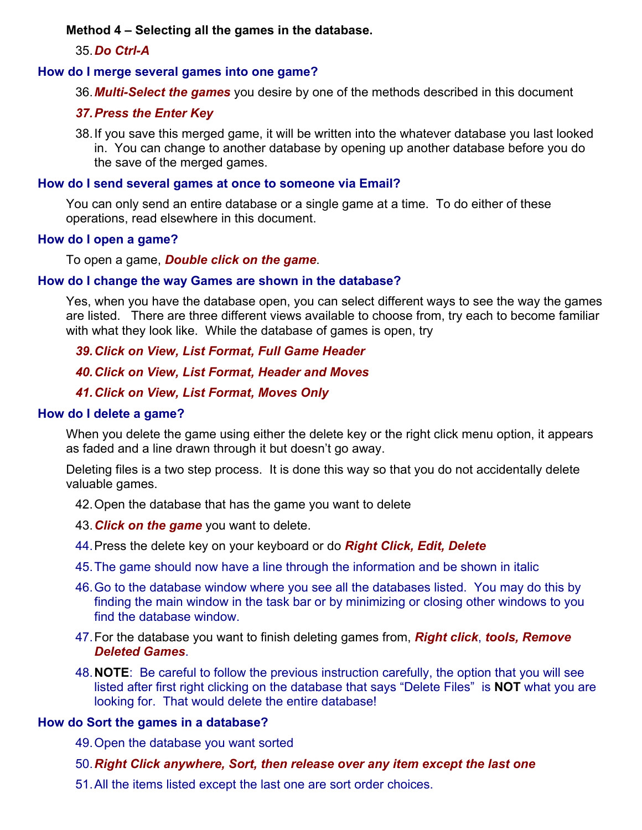# Method 4 – Selecting all the games in the database.

# 35. Do Ctrl-A

### How do I merge several games into one game?

36. Multi-Select the games you desire by one of the methods described in this document

# 37. Press the Enter Key

38. If you save this merged game, it will be written into the whatever database you last looked in. You can change to another database by opening up another database before you do the save of the merged games.

#### How do I send several games at once to someone via Email?

You can only send an entire database or a single game at a time. To do either of these operations, read elsewhere in this document.

#### How do I open a game?

To open a game, **Double click on the game**.

#### How do I change the way Games are shown in the database?

Yes, when you have the database open, you can select different ways to see the way the games are listed. There are three different views available to choose from, try each to become familiar with what they look like. While the database of games is open, try

39. Click on View, List Format, Full Game Header

40. Click on View, List Format, Header and Moves

# 41. Click on View, List Format, Moves Only

### How do I delete a game?

When you delete the game using either the delete key or the right click menu option, it appears as faded and a line drawn through it but doesn't go away.

Deleting files is a two step process. It is done this way so that you do not accidentally delete valuable games.

- 42. Open the database that has the game you want to delete
- 43. Click on the game you want to delete.
- 44. Press the delete key on your keyboard or do Right Click, Edit, Delete
- 45. The game should now have a line through the information and be shown in italic
- 46. Go to the database window where you see all the databases listed. You may do this by finding the main window in the task bar or by minimizing or closing other windows to you find the database window.
- 47. For the database you want to finish deleting games from, **Right click, tools, Remove** Deleted Games.
- 48. NOTE: Be careful to follow the previous instruction carefully, the option that you will see listed after first right clicking on the database that says "Delete Files" is **NOT** what you are looking for. That would delete the entire database!

#### How do Sort the games in a database?

49. Open the database you want sorted

#### 50. Right Click anywhere, Sort, then release over any item except the last one

51. All the items listed except the last one are sort order choices.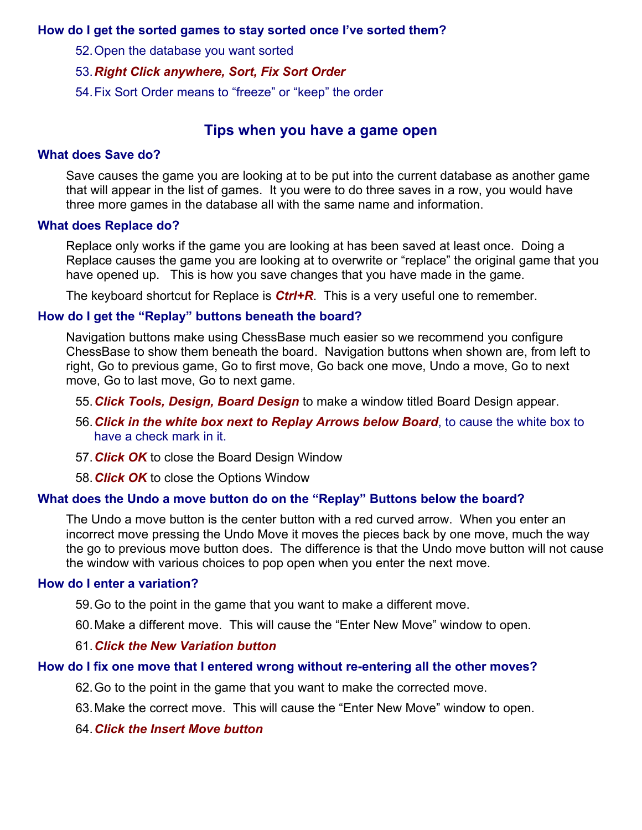# How do I get the sorted games to stay sorted once I've sorted them?

52. Open the database you want sorted

#### 53. Right Click anywhere, Sort, Fix Sort Order

54. Fix Sort Order means to "freeze" or "keep" the order

# Tips when you have a game open

#### What does Save do?

Save causes the game you are looking at to be put into the current database as another game that will appear in the list of games. It you were to do three saves in a row, you would have three more games in the database all with the same name and information.

#### What does Replace do?

Replace only works if the game you are looking at has been saved at least once. Doing a Replace causes the game you are looking at to overwrite or "replace" the original game that you have opened up. This is how you save changes that you have made in the game.

The keyboard shortcut for Replace is  $Ctrl + R$ . This is a very useful one to remember.

#### How do I get the "Replay" buttons beneath the board?

Navigation buttons make using ChessBase much easier so we recommend you configure ChessBase to show them beneath the board. Navigation buttons when shown are, from left to right, Go to previous game, Go to first move, Go back one move, Undo a move, Go to next move, Go to last move, Go to next game.

55. Click Tools, Design, Board Design to make a window titled Board Design appear.

- 56. Click in the white box next to Replay Arrows below Board, to cause the white box to have a check mark in it.
- 57. Click OK to close the Board Design Window
- 58. Click OK to close the Options Window

# What does the Undo a move button do on the "Replay" Buttons below the board?

The Undo a move button is the center button with a red curved arrow. When you enter an incorrect move pressing the Undo Move it moves the pieces back by one move, much the way the go to previous move button does. The difference is that the Undo move button will not cause the window with various choices to pop open when you enter the next move.

#### How do I enter a variation?

59. Go to the point in the game that you want to make a different move.

60. Make a different move. This will cause the "Enter New Move" window to open.

#### 61. Click the New Variation button

#### How do I fix one move that I entered wrong without re-entering all the other moves?

- 62. Go to the point in the game that you want to make the corrected move.
- 63. Make the correct move. This will cause the "Enter New Move" window to open.
- 64. Click the Insert Move button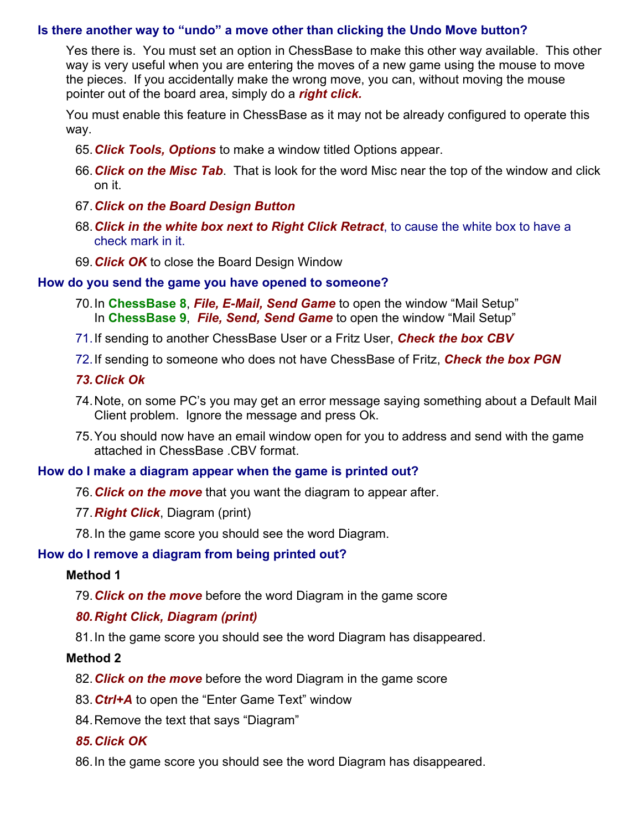# Is there another way to "undo" a move other than clicking the Undo Move button?

Yes there is. You must set an option in ChessBase to make this other way available. This other way is very useful when you are entering the moves of a new game using the mouse to move the pieces. If you accidentally make the wrong move, you can, without moving the mouse pointer out of the board area, simply do a right click.

You must enable this feature in ChessBase as it may not be already configured to operate this way.

- 65. Click Tools, Options to make a window titled Options appear.
- 66. Click on the Misc Tab. That is look for the word Misc near the top of the window and click on it.
- 67. Click on the Board Design Button
- 68. Click in the white box next to Right Click Retract, to cause the white box to have a check mark in it.
- 69. Click OK to close the Board Design Window

#### How do you send the game you have opened to someone?

- 70. In ChessBase 8, File, E-Mail, Send Game to open the window "Mail Setup" In ChessBase 9, File, Send, Send Game to open the window "Mail Setup"
- 71. If sending to another ChessBase User or a Fritz User, Check the box CBV
- 72. If sending to someone who does not have ChessBase of Fritz, **Check the box PGN**
- 73. Click Ok
- 74. Note, on some PC's you may get an error message saying something about a Default Mail Client problem. Ignore the message and press Ok.
- 75. You should now have an email window open for you to address and send with the game attached in ChessBase .CBV format.

# How do I make a diagram appear when the game is printed out?

- 76. Click on the move that you want the diagram to appear after.
- 77. Right Click, Diagram (print)
- 78. In the game score you should see the word Diagram.

# How do I remove a diagram from being printed out?

#### Method 1

79. Click on the move before the word Diagram in the game score

# 80. Right Click, Diagram (print)

81. In the game score you should see the word Diagram has disappeared.

# Method 2

- 82. Click on the move before the word Diagram in the game score
- 83. Ctrl+A to open the "Enter Game Text" window
- 84. Remove the text that says "Diagram"

# 85. Click OK

86. In the game score you should see the word Diagram has disappeared.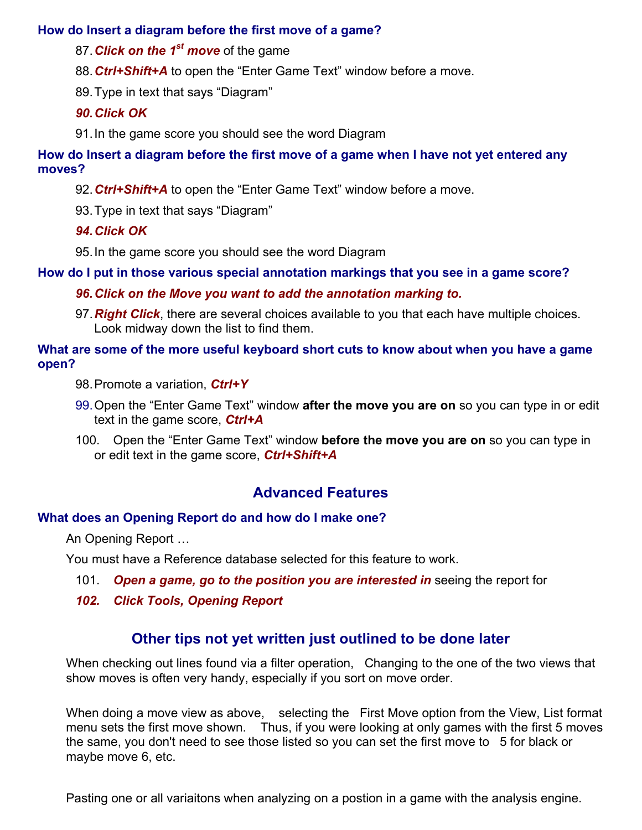# How do Insert a diagram before the first move of a game?

87. Click on the  $1<sup>st</sup>$  move of the game

88. Ctrl+Shift+A to open the "Enter Game Text" window before a move.

89. Type in text that says "Diagram"

# 90. Click OK

91. In the game score you should see the word Diagram

How do Insert a diagram before the first move of a game when I have not yet entered any moves?

92. Ctrl+Shift+A to open the "Enter Game Text" window before a move.

93. Type in text that says "Diagram"

94. Click OK

95. In the game score you should see the word Diagram

How do I put in those various special annotation markings that you see in a game score?

# 96. Click on the Move you want to add the annotation marking to.

97. Right Click, there are several choices available to you that each have multiple choices. Look midway down the list to find them.

# What are some of the more useful keyboard short cuts to know about when you have a game open?

- 98. Promote a variation, Ctrl+Y
- 99. Open the "Enter Game Text" window after the move you are on so you can type in or edit text in the game score,  $Ctrl + A$
- 100. Open the "Enter Game Text" window **before the move you are on** so you can type in or edit text in the game score, Ctrl+Shift+A

# Advanced Features

# What does an Opening Report do and how do I make one?

An Opening Report …

You must have a Reference database selected for this feature to work.

- 101. Open a game, go to the position you are interested in seeing the report for
- 102. Click Tools, Opening Report

# Other tips not yet written just outlined to be done later

When checking out lines found via a filter operation, Changing to the one of the two views that show moves is often very handy, especially if you sort on move order.

When doing a move view as above, selecting the First Move option from the View, List format menu sets the first move shown. Thus, if you were looking at only games with the first 5 moves the same, you don't need to see those listed so you can set the first move to 5 for black or maybe move 6, etc.

Pasting one or all variaitons when analyzing on a postion in a game with the analysis engine.